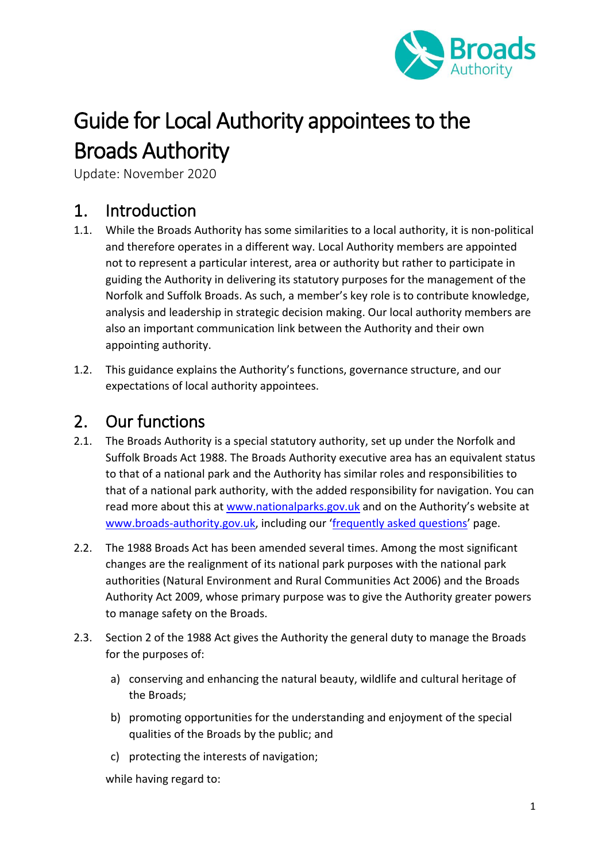

# Guide for Local Authority appointees to the Broads Authority

Update: November 2020

#### 1. Introduction

- 1.1. While the Broads Authority has some similarities to a local authority, it is non-political and therefore operates in a different way. Local Authority members are appointed not to represent a particular interest, area or authority but rather to participate in guiding the Authority in delivering its statutory purposes for the management of the Norfolk and Suffolk Broads. As such, a member's key role is to contribute knowledge, analysis and leadership in strategic decision making. Our local authority members are also an important communication link between the Authority and their own appointing authority.
- 1.2. This guidance explains the Authority's functions, governance structure, and our expectations of local authority appointees.

### 2. Our functions

- 2.1. The Broads Authority is a special statutory authority, set up under the Norfolk and Suffolk Broads Act 1988. The Broads Authority executive area has an equivalent status to that of a national park and the Authority has similar roles and responsibilities to that of a national park authority, with the added responsibility for navigation. You can read more about this at [www.nationalparks.gov.uk](http://www.nationalparks.gov.uk/) and on the Authority's website at [www.broads-authority.gov.uk,](http://www.broads-authority.gov.uk/) including our '[frequently asked questions](https://www.broads-authority.gov.uk/news/frequently-asked-questions)' page.
- 2.2. The 1988 Broads Act has been amended several times. Among the most significant changes are the realignment of its national park purposes with the national park authorities (Natural Environment and Rural Communities Act 2006) and the Broads Authority Act 2009, whose primary purpose was to give the Authority greater powers to manage safety on the Broads.
- 2.3. Section 2 of the 1988 Act gives the Authority the general duty to manage the Broads for the purposes of:
	- a) conserving and enhancing the natural beauty, wildlife and cultural heritage of the Broads;
	- b) promoting opportunities for the understanding and enjoyment of the special qualities of the Broads by the public; and
	- c) protecting the interests of navigation;

while having regard to: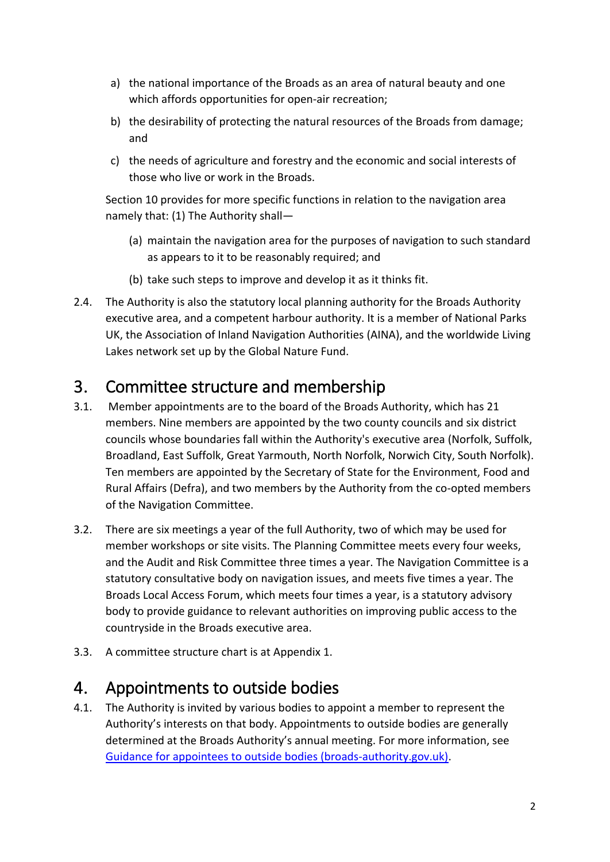- a) the national importance of the Broads as an area of natural beauty and one which affords opportunities for open-air recreation;
- b) the desirability of protecting the natural resources of the Broads from damage; and
- c) the needs of agriculture and forestry and the economic and social interests of those who live or work in the Broads.

Section 10 provides for more specific functions in relation to the navigation area namely that: (1) The Authority shall—

- (a) maintain the navigation area for the purposes of navigation to such standard as appears to it to be reasonably required; and
- (b) take such steps to improve and develop it as it thinks fit.
- 2.4. The Authority is also the statutory local planning authority for the Broads Authority executive area, and a competent harbour authority. It is a member of National Parks UK, the Association of Inland Navigation Authorities (AINA), and the worldwide Living Lakes network set up by the Global Nature Fund.

### 3. Committee structure and membership

- 3.1. Member appointments are to the board of the Broads Authority, which has 21 members. Nine members are appointed by the two county councils and six district councils whose boundaries fall within the Authority's executive area (Norfolk, Suffolk, Broadland, East Suffolk, Great Yarmouth, North Norfolk, Norwich City, South Norfolk). Ten members are appointed by the Secretary of State for the Environment, Food and Rural Affairs (Defra), and two members by the Authority from the co-opted members of the Navigation Committee.
- 3.2. There are six meetings a year of the full Authority, two of which may be used for member workshops or site visits. The Planning Committee meets every four weeks, and the Audit and Risk Committee three times a year. The Navigation Committee is a statutory consultative body on navigation issues, and meets five times a year. The Broads Local Access Forum, which meets four times a year, is a statutory advisory body to provide guidance to relevant authorities on improving public access to the countryside in the Broads executive area.
- 3.3. A committee structure chart is at Appendix 1.

### 4. Appointments to outside bodies

4.1. The Authority is invited by various bodies to appoint a member to represent the Authority's interests on that body. Appointments to outside bodies are generally determined at the Broads Authority's annual meeting. For more information, see [Guidance for appointees to outside bodies \(broads-authority.gov.uk\).](https://www.broads-authority.gov.uk/__data/assets/pdf_file/0025/380257/Guidance-for-appointees-to-outside-bodies-Nov-2020.pdf)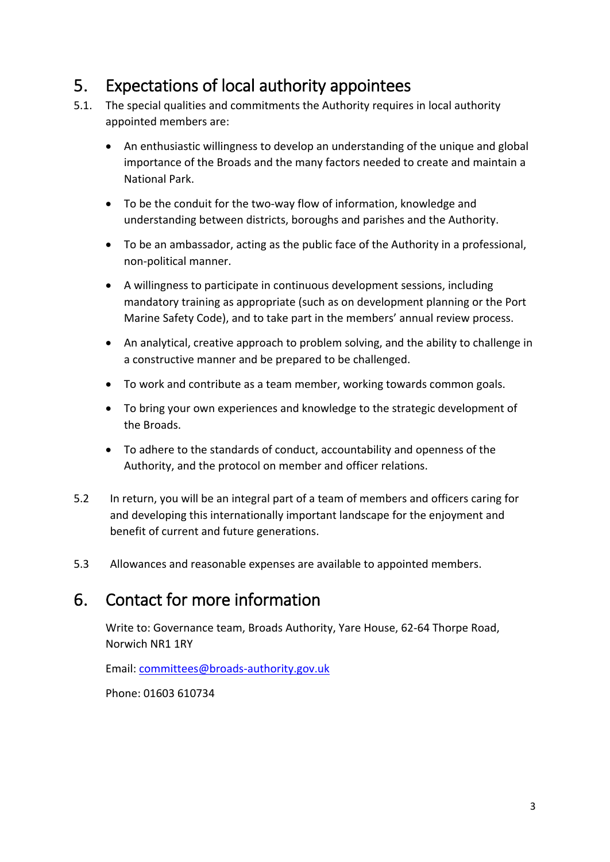# 5. Expectations of local authority appointees

- 5.1. The special qualities and commitments the Authority requires in local authority appointed members are:
	- An enthusiastic willingness to develop an understanding of the unique and global importance of the Broads and the many factors needed to create and maintain a National Park.
	- To be the conduit for the two-way flow of information, knowledge and understanding between districts, boroughs and parishes and the Authority.
	- To be an ambassador, acting as the public face of the Authority in a professional, non-political manner.
	- A willingness to participate in continuous development sessions, including mandatory training as appropriate (such as on development planning or the Port Marine Safety Code), and to take part in the members' annual review process.
	- An analytical, creative approach to problem solving, and the ability to challenge in a constructive manner and be prepared to be challenged.
	- To work and contribute as a team member, working towards common goals.
	- To bring your own experiences and knowledge to the strategic development of the Broads.
	- To adhere to the standards of conduct, accountability and openness of the Authority, and the protocol on member and officer relations.
- 5.2 In return, you will be an integral part of a team of members and officers caring for and developing this internationally important landscape for the enjoyment and benefit of current and future generations.
- 5.3 Allowances and reasonable expenses are available to appointed members.

# 6. Contact for more information

Write to: Governance team, Broads Authority, Yare House, 62-64 Thorpe Road, Norwich NR1 1RY

Email: [committees@broads-authority.gov.uk](mailto:committees@broads-authority.gov.uk)

Phone: 01603 610734